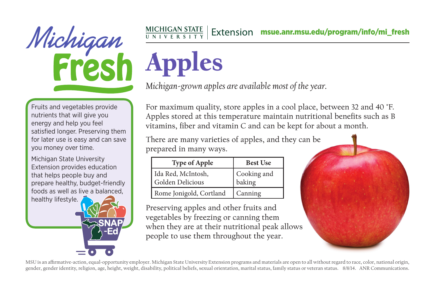

## $\frac{\text{MICHIGAN STATE}}{\text{UNIVE R S INT Y}}$  Extension msue.anr.msu.edu/program/info/mi\_fresh

*Michigan-grown apples are available most of the year.*

Noted also prov nutrients that will give you Fruits and vegetables provide energy and help you feel satisfied longer. Preserving them for later use is easy and can save you money over time.

Michigan State University Extension provides education that helps people buy and prepare healthy, budget-friendly foods as well as live a balanced, healthy lifestyle.

For maximum quality, store apples in a cool place, between 32 and 40 °F. Apples stored at this temperature maintain nutritional benefits such as B vitamins, fiber and vitamin C and can be kept for about a month.

There are many varieties of apples, and they can be prepared in many ways.

| <b>Type of Apple</b>                   | <b>Best Use</b>       |
|----------------------------------------|-----------------------|
| Ida Red, McIntosh,<br>Golden Delicious | Cooking and<br>baking |
| Rome Jonigold, Cortland                | Canning               |

Preserving apples and other fruits and vegetables by freezing or canning them when they are at their nutritional peak allows people to use them throughout the year.



MSU is an affirmative-action, equal-opportunity employer. Michigan State University Extension programs and materials are open to all without regard to race, color, national origin, gender, gender identity, religion, age, height, weight, disability, political beliefs, sexual orientation, marital status, family status or veteran status. 8/8/14. ANR Communications.